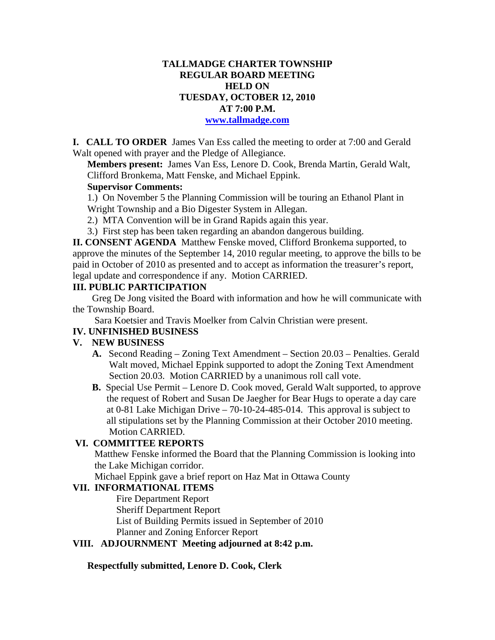# **TALLMADGE CHARTER TOWNSHIP REGULAR BOARD MEETING HELD ON TUESDAY, OCTOBER 12, 2010 AT 7:00 P.M.**

#### **www.tallmadge.com**

**I. CALL TO ORDER** James Van Ess called the meeting to order at 7:00 and Gerald Walt opened with prayer and the Pledge of Allegiance.

**Members present:** James Van Ess, Lenore D. Cook, Brenda Martin, Gerald Walt, Clifford Bronkema, Matt Fenske, and Michael Eppink.

# **Supervisor Comments:**

1.) On November 5 the Planning Commission will be touring an Ethanol Plant in Wright Township and a Bio Digester System in Allegan.

- 2.) MTA Convention will be in Grand Rapids again this year.
- 3.) First step has been taken regarding an abandon dangerous building.

**II. CONSENT AGENDA** Matthew Fenske moved, Clifford Bronkema supported, to approve the minutes of the September 14, 2010 regular meeting, to approve the bills to be paid in October of 2010 as presented and to accept as information the treasurer's report, legal update and correspondence if any. Motion CARRIED.

#### **III. PUBLIC PARTICIPATION**

Greg De Jong visited the Board with information and how he will communicate with the Township Board.

Sara Koetsier and Travis Moelker from Calvin Christian were present.

## **IV. UNFINISHED BUSINESS**

## **V. NEW BUSINESS**

- **A.** Second Reading Zoning Text Amendment Section 20.03 Penalties. Gerald Walt moved, Michael Eppink supported to adopt the Zoning Text Amendment Section 20.03. Motion CARRIED by a unanimous roll call vote.
- **B.** Special Use Permit Lenore D. Cook moved, Gerald Walt supported, to approve the request of Robert and Susan De Jaegher for Bear Hugs to operate a day care at 0-81 Lake Michigan Drive – 70-10-24-485-014. This approval is subject to all stipulations set by the Planning Commission at their October 2010 meeting. Motion CARRIED.

## **VI. COMMITTEE REPORTS**

 Matthew Fenske informed the Board that the Planning Commission is looking into the Lake Michigan corridor.

Michael Eppink gave a brief report on Haz Mat in Ottawa County

## **VII. INFORMATIONAL ITEMS**

Fire Department Report Sheriff Department Report List of Building Permits issued in September of 2010 Planner and Zoning Enforcer Report

## **VIII. ADJOURNMENT Meeting adjourned at 8:42 p.m.**

**Respectfully submitted, Lenore D. Cook, Clerk**